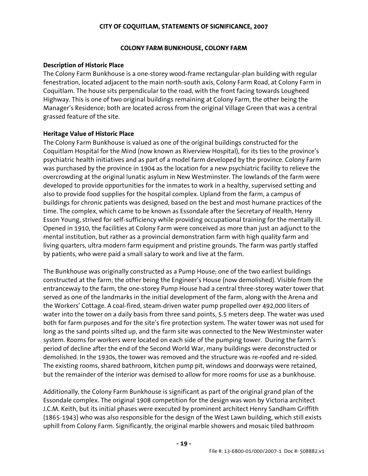### **CITY OF COQUITLAM, STATEMENTS OF SIGNIFICANCE, 2007**

#### **COLONY FARM BUNKHOUSE, COLONY FARM**

#### **Description of Historic Place**

The Colony Farm Bunkhouse is a one-storey wood-frame rectangular-plan building with regular fenestration, located adjacent to the main north-south axis, Colony Farm Road, at Colony Farm in Coquitlam. The house sits perpendicular to the road, with the front facing towards Lougheed Highway. This is one of two original buildings remaining at Colony Farm, the other being the Manager's Residence; both are located across from the original Village Green that was a central grassed feature of the site.

#### **Heritage Value of Historic Place**

The Colony Farm Bunkhouse is valued as one of the original buildings constructed for the Coquitlam Hospital for the Mind (now known as Riverview Hospital), for its ties to the province's psychiatric health initiatives and as part of a model farm developed by the province. Colony Farm was purchased by the province in 1904 as the location for a new psychiatric facility to relieve the overcrowding at the original lunatic asylum in New Westminster. The lowlands of the farm were developed to provide opportunities for the inmates to work in a healthy, supervised setting and also to provide food supplies for the hospital complex. Upland from the farm, a campus of buildings for chronic patients was designed, based on the best and most humane practices of the time. The complex, which came to be known as Essondale after the Secretary of Health, Henry Esson Young, strived for self-sufficiency while providing occupational training for the mentally ill. Opened in 1910, the facilities at Colony Farm were conceived as more than just an adjunct to the mental institution, but rather as a provincial demonstration farm with high quality farm and living quarters, ultra modern farm equipment and pristine grounds. The farm was partly staffed by patients, who were paid a small salary to work and live at the farm.

The Bunkhouse was originally constructed as a Pump House; one of the two earliest buildings constructed at the farm; the other being the Engineer's House (now demolished). Visible from the entranceway to the farm, the one-storey Pump House had a central three-storey water tower that served as one of the landmarks in the initial development of the farm, along with the Arena and the Workers' Cottage. A coal-fired, steam-driven water pump propelled over 492,000 liters of water into the tower on a daily basis from three sand points, 5.5 meters deep. The water was used both for farm purposes and for the site's fire protection system. The water tower was not used for long as the sand points silted up, and the farm site was connected to the New Westminster water system. Rooms for workers were located on each side of the pumping tower. During the farm's period of decline after the end of the Second World War, many buildings were deconstructed or demolished. In the 1930s, the tower was removed and the structure was re-roofed and re-sided. The existing rooms, shared bathroom, kitchen pump pit, windows and doorways were retained, but the remainder of the interior was demised to allow for more rooms for use as a bunkhouse.

Additionally, the Colony Farm Bunkhouse is significant as part of the original grand plan of the Essondale complex. The original 1908 competition for the design was won by Victoria architect J.C.M. Keith, but its initial phases were executed by prominent architect Henry Sandham Griffith (1865-1943) who was also responsible for the design of the West Lawn building, which still exists uphill from Colony Farm. Significantly, the original marble showers and mosaic tiled bathroom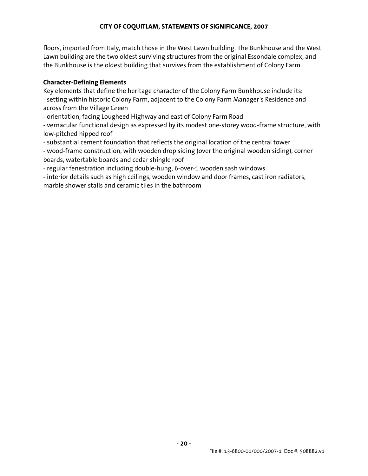# **CITY OF COQUITLAM, STATEMENTS OF SIGNIFICANCE, 2007**

floors, imported from Italy, match those in the West Lawn building. The Bunkhouse and the West Lawn building are the two oldest surviving structures from the original Essondale complex, and the Bunkhouse is the oldest building that survives from the establishment of Colony Farm.

### **Character-Defining Elements**

Key elements that define the heritage character of the Colony Farm Bunkhouse include its: - setting within historic Colony Farm, adjacent to the Colony Farm Manager's Residence and across from the Village Green

- orientation, facing Lougheed Highway and east of Colony Farm Road

- vernacular functional design as expressed by its modest one-storey wood-frame structure, with low-pitched hipped roof

- substantial cement foundation that reflects the original location of the central tower

- wood-frame construction, with wooden drop siding (over the original wooden siding), corner boards, watertable boards and cedar shingle roof

- regular fenestration including double-hung, 6-over-1 wooden sash windows

- interior details such as high ceilings, wooden window and door frames, cast iron radiators, marble shower stalls and ceramic tiles in the bathroom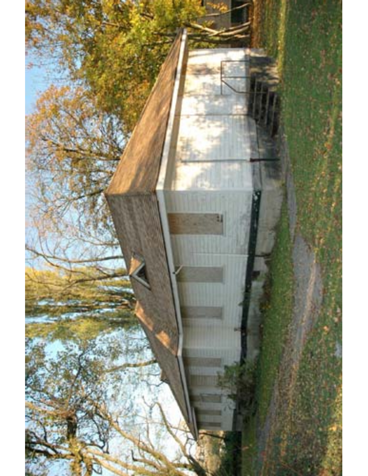